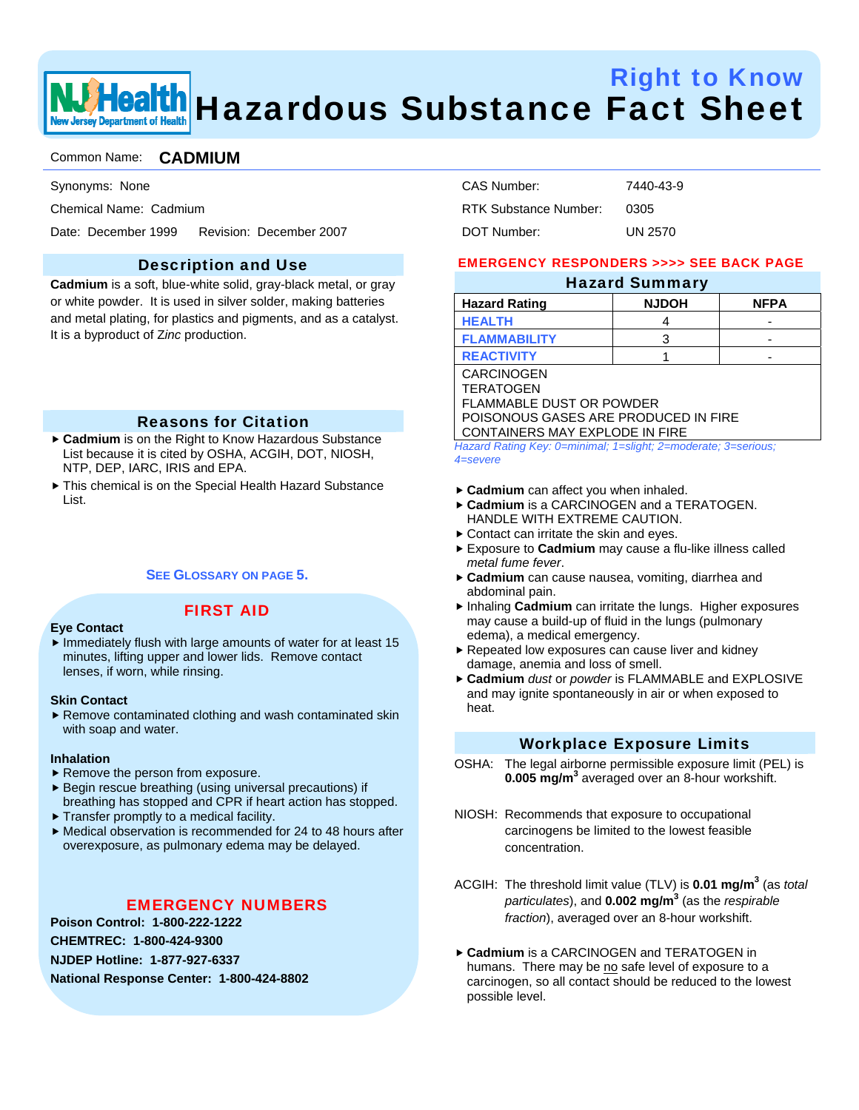# Right to Know **Health** Hazardous Substance Fact Sheet ew Jersey Department of Health

# Common Name: **CADMIUM**

Synonyms: None

Chemical Name: Cadmium

Date: December 1999 Revision: December 2007

# Description and Use

**Cadmium** is a soft, blue-white solid, gray-black metal, or gray or white powder. It is used in silver solder, making batteries and metal plating, for plastics and pigments, and as a catalyst. It is a byproduct of Z*inc* production.

### Reasons for Citation

- ▶ Cadmium is on the Right to Know Hazardous Substance List because it is cited by OSHA, ACGIH, DOT, NIOSH, NTP, DEP, IARC, IRIS and EPA.
- $\triangleright$  This chemical is on the Special Health Hazard Substance List.

#### **SEE GLOSSARY ON PAGE 5.**

FIRST AID

#### **Eye Contact**

 $\blacktriangleright$  Immediately flush with large amounts of water for at least 15 minutes, lifting upper and lower lids. Remove contact lenses, if worn, while rinsing.

#### **Skin Contact**

 $\blacktriangleright$  Remove contaminated clothing and wash contaminated skin with soap and water.

#### **Inhalation**

- $\blacktriangleright$  Remove the person from exposure.
- $\blacktriangleright$  Begin rescue breathing (using universal precautions) if breathing has stopped and CPR if heart action has stopped.
- $\blacktriangleright$  Transfer promptly to a medical facility.
- $\blacktriangleright$  Medical observation is recommended for 24 to 48 hours after overexposure, as pulmonary edema may be delayed.

# EMERGENCY NUMBERS

**Poison Control: 1-800-222-1222 CHEMTREC: 1-800-424-9300 NJDEP Hotline: 1-877-927-6337 National Response Center: 1-800-424-8802** 

| CAS Number:           | 7440-43-9 |
|-----------------------|-----------|
| RTK Substance Number: | 0305      |
| DOT Number:           | UN 2570   |

#### EMERGENCY RESPONDERS >>>> SEE BACK PAGE

# Hazard Summary

| <b>Hazard Rating</b> | <b>NJDOH</b> | <b>NFPA</b> |
|----------------------|--------------|-------------|
| <b>HEALTH</b>        |              | -           |
| <b>FLAMMABILITY</b>  |              | -           |
| <b>REACTIVITY</b>    |              | -           |

CARCINOGEN **TERATOGEN** FLAMMABLE DUST OR POWDER POISONOUS GASES ARE PRODUCED IN FIRE CONTAINERS MAY EXPLODE IN FIRE

*Hazard Rating Key: 0=minimal; 1=slight; 2=moderate; 3=serious; 4=severe*

- ▶ Cadmium can affect you when inhaled.
- ► **Cadmium** is a CARCINOGEN and a TERATOGEN. HANDLE WITH EXTREME CAUTION.
- $\triangleright$  Contact can irritate the skin and eyes.
- **Exposure to Cadmium** may cause a flu-like illness called *metal fume fever*.
- **Cadmium** can cause nausea, vomiting, diarrhea and abdominal pain.
- **F** Inhaling **Cadmium** can irritate the lungs. Higher exposures may cause a build-up of fluid in the lungs (pulmonary edema), a medical emergency.
- $\blacktriangleright$  Repeated low exposures can cause liver and kidney damage, anemia and loss of smell.
- **Cadmium** *dust* or *powder* is FLAMMABLE and EXPLOSIVE and may ignite spontaneously in air or when exposed to heat.

### Workplace Exposure Limits

- OSHA: The legal airborne permissible exposure limit (PEL) is **0.005 mg/m<sup>3</sup> averaged over an 8-hour workshift.**
- NIOSH: Recommends that exposure to occupational carcinogens be limited to the lowest feasible concentration.
- ACGIH: The threshold limit value (TLV) is **0.01 mg/m3** (as *total particulates*), and **0.002 mg/m3** (as the *respirable fraction*), averaged over an 8-hour workshift.
- ▶ Cadmium is a CARCINOGEN and TERATOGEN in humans. There may be no safe level of exposure to a carcinogen, so all contact should be reduced to the lowest possible level.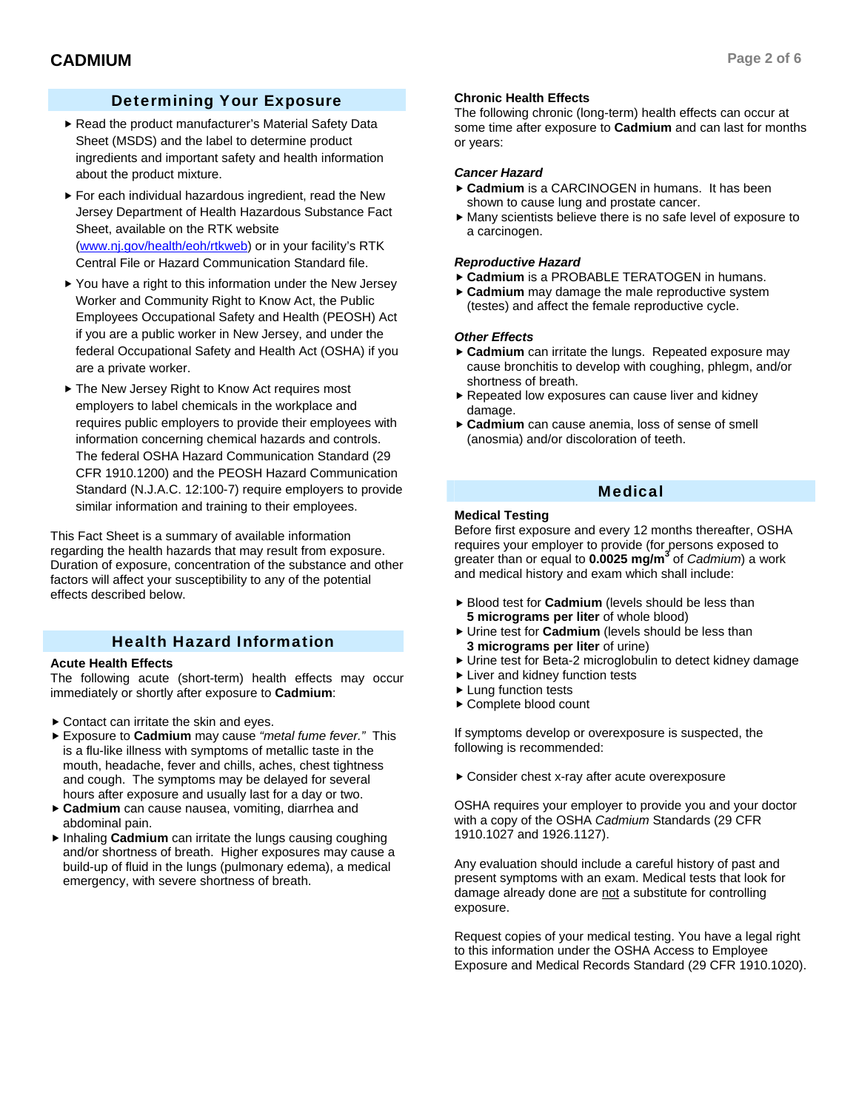# Determining Your Exposure

- Read the product manufacturer's Material Safety Data Sheet (MSDS) and the label to determine product ingredients and important safety and health information about the product mixture.
- $\blacktriangleright$  For each individual hazardous ingredient, read the New Jersey Department of Health Hazardous Substance Fact Sheet, available on the RTK website (www.nj.gov/health/eoh/rtkweb) or in your facility's RTK Central File or Hazard Communication Standard file.
- $\blacktriangleright$  You have a right to this information under the New Jersey Worker and Community Right to Know Act, the Public Employees Occupational Safety and Health (PEOSH) Act if you are a public worker in New Jersey, and under the federal Occupational Safety and Health Act (OSHA) if you are a private worker.
- ▶ The New Jersey Right to Know Act requires most employers to label chemicals in the workplace and requires public employers to provide their employees with information concerning chemical hazards and controls. The federal OSHA Hazard Communication Standard (29 CFR 1910.1200) and the PEOSH Hazard Communication Standard (N.J.A.C. 12:100-7) require employers to provide similar information and training to their employees.

This Fact Sheet is a summary of available information regarding the health hazards that may result from exposure. Duration of exposure, concentration of the substance and other factors will affect your susceptibility to any of the potential effects described below.

# Health Hazard Information

#### **Acute Health Effects**

The following acute (short-term) health effects may occur immediately or shortly after exposure to **Cadmium**:

- $\triangleright$  Contact can irritate the skin and eves.
- f Exposure to **Cadmium** may cause *"metal fume fever."* This is a flu-like illness with symptoms of metallic taste in the mouth, headache, fever and chills, aches, chest tightness and cough. The symptoms may be delayed for several hours after exposure and usually last for a day or two.
- ▶ Cadmium can cause nausea, vomiting, diarrhea and abdominal pain.
- **F** Inhaling **Cadmium** can irritate the lungs causing coughing and/or shortness of breath. Higher exposures may cause a build-up of fluid in the lungs (pulmonary edema), a medical emergency, with severe shortness of breath.

#### **Chronic Health Effects**

The following chronic (long-term) health effects can occur at some time after exposure to **Cadmium** and can last for months or years:

#### *Cancer Hazard*

- ► Cadmium is a CARCINOGEN in humans. It has been shown to cause lung and prostate cancer.
- $\blacktriangleright$  Many scientists believe there is no safe level of exposure to a carcinogen.

#### *Reproductive Hazard*

- $\triangleright$  Cadmium is a PROBABLE TERATOGEN in humans.
- **Cadmium** may damage the male reproductive system (testes) and affect the female reproductive cycle.

#### *Other Effects*

- ► **Cadmium** can irritate the lungs. Repeated exposure may cause bronchitis to develop with coughing, phlegm, and/or shortness of breath.
- $\blacktriangleright$  Repeated low exposures can cause liver and kidney damage.
- **Cadmium** can cause anemia, loss of sense of smell (anosmia) and/or discoloration of teeth.

# Medical

#### **Medical Testing**

Before first exposure and every 12 months thereafter, OSHA requires your employer to provide (for persons exposed to greater than or equal to **0.0025 mg/m3** of *Cadmium*) a work and medical history and exam which shall include:

- **F** Blood test for **Cadmium** (levels should be less than **5 micrograms per liter** of whole blood)
- ▶ Urine test for **Cadmium** (levels should be less than **3 micrograms per liter** of urine)
- $\blacktriangleright$  Urine test for Beta-2 microglobulin to detect kidney damage
- $\blacktriangleright$  Liver and kidney function tests
- $\blacktriangleright$  Lung function tests
- $\blacktriangleright$  Complete blood count

If symptoms develop or overexposure is suspected, the following is recommended:

 $\triangleright$  Consider chest x-ray after acute overexposure

OSHA requires your employer to provide you and your doctor with a copy of the OSHA *Cadmium* Standards (29 CFR 1910.1027 and 1926.1127).

Any evaluation should include a careful history of past and present symptoms with an exam. Medical tests that look for damage already done are not a substitute for controlling exposure.

Request copies of your medical testing. You have a legal right to this information under the OSHA Access to Employee Exposure and Medical Records Standard (29 CFR 1910.1020).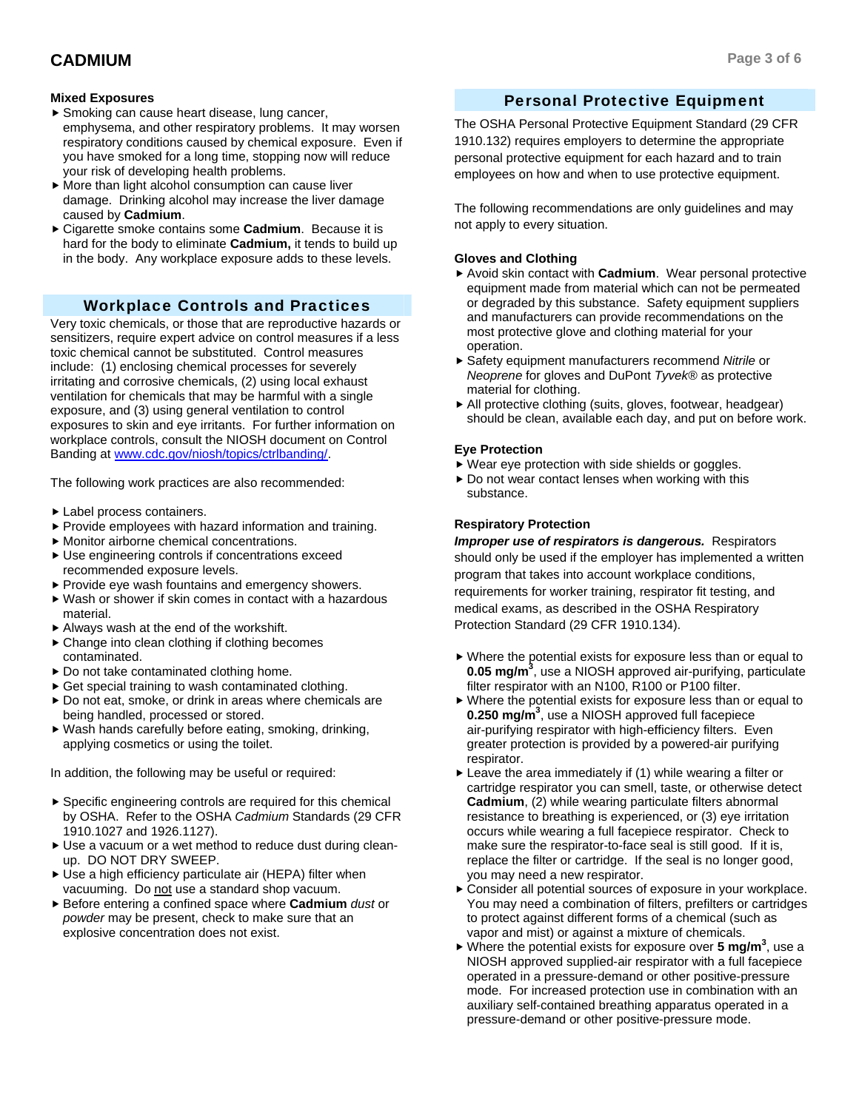# **CADMIUM Page 3 of 6**

#### **Mixed Exposures**

- $\blacktriangleright$  Smoking can cause heart disease, lung cancer, emphysema, and other respiratory problems. It may worsen respiratory conditions caused by chemical exposure. Even if you have smoked for a long time, stopping now will reduce your risk of developing health problems.
- $\blacktriangleright$  More than light alcohol consumption can cause liver damage. Drinking alcohol may increase the liver damage caused by **Cadmium**.
- ▶ Cigarette smoke contains some **Cadmium**. Because it is hard for the body to eliminate **Cadmium,** it tends to build up in the body. Any workplace exposure adds to these levels.

# Workplace Controls and Practices

Very toxic chemicals, or those that are reproductive hazards or sensitizers, require expert advice on control measures if a less toxic chemical cannot be substituted. Control measures include: (1) enclosing chemical processes for severely irritating and corrosive chemicals, (2) using local exhaust ventilation for chemicals that may be harmful with a single exposure, and (3) using general ventilation to control exposures to skin and eye irritants. For further information on workplace controls, consult the NIOSH document on Control Banding at www.cdc.gov/niosh/topics/ctrlbanding/.

The following work practices are also recommended:

- $\blacktriangleright$  Label process containers.
- $\blacktriangleright$  Provide employees with hazard information and training.
- $\blacktriangleright$  Monitor airborne chemical concentrations.
- $\blacktriangleright$  Use engineering controls if concentrations exceed recommended exposure levels.
- $\blacktriangleright$  Provide eye wash fountains and emergency showers.
- $\blacktriangleright$  Wash or shower if skin comes in contact with a hazardous material.
- $\blacktriangleright$  Always wash at the end of the workshift.
- $\triangleright$  Change into clean clothing if clothing becomes contaminated.
- $\blacktriangleright$  Do not take contaminated clothing home.
- $\blacktriangleright$  Get special training to wash contaminated clothing.
- Do not eat, smoke, or drink in areas where chemicals are being handled, processed or stored.
- $\blacktriangleright$  Wash hands carefully before eating, smoking, drinking, applying cosmetics or using the toilet.

In addition, the following may be useful or required:

- $\triangleright$  Specific engineering controls are required for this chemical by OSHA. Refer to the OSHA *Cadmium* Standards (29 CFR 1910.1027 and 1926.1127).
- Use a vacuum or a wet method to reduce dust during cleanup. DO NOT DRY SWEEP.
- $\blacktriangleright$  Use a high efficiency particulate air (HEPA) filter when vacuuming. Do not use a standard shop vacuum.
- f Before entering a confined space where **Cadmium** *dust* or *powder* may be present, check to make sure that an explosive concentration does not exist.

# Personal Protective Equipment

The OSHA Personal Protective Equipment Standard (29 CFR 1910.132) requires employers to determine the appropriate personal protective equipment for each hazard and to train employees on how and when to use protective equipment.

The following recommendations are only guidelines and may not apply to every situation.

### **Gloves and Clothing**

- ▶ Avoid skin contact with **Cadmium**. Wear personal protective equipment made from material which can not be permeated or degraded by this substance. Safety equipment suppliers and manufacturers can provide recommendations on the most protective glove and clothing material for your operation.
- ▶ Safety equipment manufacturers recommend *Nitrile* or *Neoprene* for gloves and DuPont *Tyvek®* as protective material for clothing.
- If All protective clothing (suits, gloves, footwear, headgear) should be clean, available each day, and put on before work.

# **Eye Protection**

- $\blacktriangleright$  Wear eye protection with side shields or goggles.
- $\blacktriangleright$  Do not wear contact lenses when working with this substance.

# **Respiratory Protection**

*Improper use of respirators is dangerous.* Respirators should only be used if the employer has implemented a written program that takes into account workplace conditions, requirements for worker training, respirator fit testing, and medical exams, as described in the OSHA Respiratory Protection Standard (29 CFR 1910.134).

- $\triangleright$  Where the potential exists for exposure less than or equal to **0.05 mg/m<sup>3</sup>**, use a NIOSH approved air-purifying, particulate filter respirator with an N100, R100 or P100 filter.
- $\blacktriangleright$  Where the potential exists for exposure less than or equal to **0.250 mg/m3** , use a NIOSH approved full facepiece air-purifying respirator with high-efficiency filters. Even greater protection is provided by a powered-air purifying respirator.
- $\blacktriangleright$  Leave the area immediately if (1) while wearing a filter or cartridge respirator you can smell, taste, or otherwise detect **Cadmium**, (2) while wearing particulate filters abnormal resistance to breathing is experienced, or (3) eye irritation occurs while wearing a full facepiece respirator. Check to make sure the respirator-to-face seal is still good. If it is, replace the filter or cartridge. If the seal is no longer good, you may need a new respirator.
- $\triangleright$  Consider all potential sources of exposure in your workplace. You may need a combination of filters, prefilters or cartridges to protect against different forms of a chemical (such as vapor and mist) or against a mixture of chemicals.
- ▶ Where the potential exists for exposure over **5 mg/m<sup>3</sup>**, use a NIOSH approved supplied-air respirator with a full facepiece operated in a pressure-demand or other positive-pressure mode. For increased protection use in combination with an auxiliary self-contained breathing apparatus operated in a pressure-demand or other positive-pressure mode.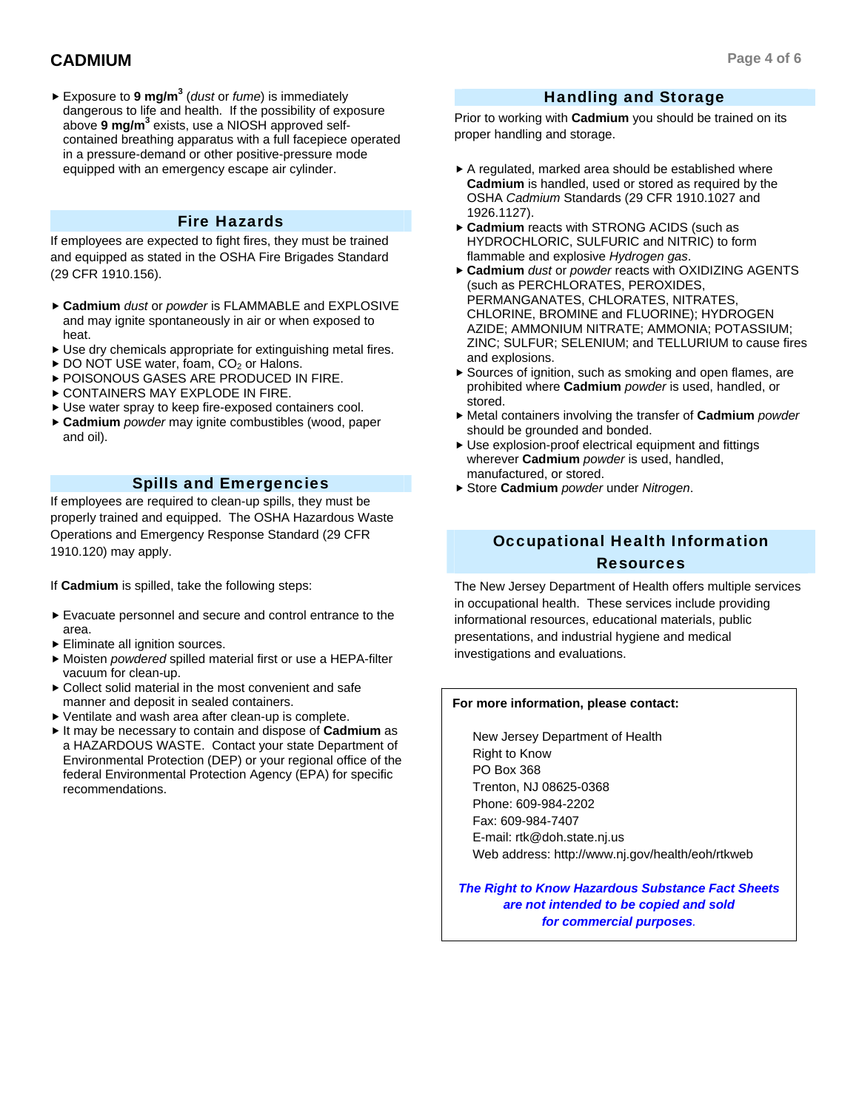# **CADMIUM Page 4 of 6**

► Exposure to 9 mg/m<sup>3</sup> (*dust* or *fume*) is immediately dangerous to life and health. If the possibility of exposure above **9 mg/m3** exists, use a NIOSH approved selfcontained breathing apparatus with a full facepiece operated in a pressure-demand or other positive-pressure mode equipped with an emergency escape air cylinder.

# Fire Hazards

If employees are expected to fight fires, they must be trained and equipped as stated in the OSHA Fire Brigades Standard (29 CFR 1910.156).

- ▶ Cadmium *dust* or *powder* is FLAMMABLE and EXPLOSIVE and may ignite spontaneously in air or when exposed to heat.
- $\triangleright$  Use dry chemicals appropriate for extinguishing metal fires.
- $\triangleright$  DO NOT USE water, foam, CO<sub>2</sub> or Halons.
- **POISONOUS GASES ARE PRODUCED IN FIRE.**
- **EXPLODE IN FIRE.**
- $\blacktriangleright$  Use water spray to keep fire-exposed containers cool.
- ▶ Cadmium *powder* may ignite combustibles (wood, paper and oil).

# Spills and Emergencies

If employees are required to clean-up spills, they must be properly trained and equipped. The OSHA Hazardous Waste Operations and Emergency Response Standard (29 CFR 1910.120) may apply.

If **Cadmium** is spilled, take the following steps:

- $\blacktriangleright$  Evacuate personnel and secure and control entrance to the area.
- $\blacktriangleright$  Eliminate all ignition sources.
- f Moisten *powdered* spilled material first or use a HEPA-filter vacuum for clean-up.
- $\blacktriangleright$  Collect solid material in the most convenient and safe manner and deposit in sealed containers.
- $\blacktriangleright$  Ventilate and wash area after clean-up is complete.
- $\triangleright$  It may be necessary to contain and dispose of **Cadmium** as a HAZARDOUS WASTE. Contact your state Department of Environmental Protection (DEP) or your regional office of the federal Environmental Protection Agency (EPA) for specific recommendations.

# Handling and Storage

Prior to working with **Cadmium** you should be trained on its proper handling and storage.

- $\blacktriangleright$  A regulated, marked area should be established where **Cadmium** is handled, used or stored as required by the OSHA *Cadmium* Standards (29 CFR 1910.1027 and 1926.1127).
- ► Cadmium reacts with STRONG ACIDS (such as HYDROCHLORIC, SULFURIC and NITRIC) to form flammable and explosive *Hydrogen gas*.
- **Cadmium** *dust* or *powder* reacts with OXIDIZING AGENTS (such as PERCHLORATES, PEROXIDES, PERMANGANATES, CHLORATES, NITRATES, CHLORINE, BROMINE and FLUORINE); HYDROGEN AZIDE; AMMONIUM NITRATE; AMMONIA; POTASSIUM; ZINC; SULFUR; SELENIUM; and TELLURIUM to cause fires and explosions.
- $\blacktriangleright$  Sources of ignition, such as smoking and open flames, are prohibited where **Cadmium** *powder* is used, handled, or stored.
- f Metal containers involving the transfer of **Cadmium** *powder* should be grounded and bonded.
- $\blacktriangleright$  Use explosion-proof electrical equipment and fittings wherever **Cadmium** *powder* is used, handled, manufactured, or stored.
- f Store **Cadmium** *powder* under *Nitrogen*.

# Occupational Health Information **Resources**

The New Jersey Department of Health offers multiple services in occupational health. These services include providing informational resources, educational materials, public presentations, and industrial hygiene and medical investigations and evaluations.

#### **For more information, please contact:**

 New Jersey Department of Health Right to Know PO Box 368 Trenton, NJ 08625-0368 Phone: 609-984-2202 Fax: 609-984-7407 E-mail: rtk@doh.state.nj.us Web address: http://www.nj.gov/health/eoh/rtkweb

*The Right to Know Hazardous Substance Fact Sheets are not intended to be copied and sold for commercial purposes.*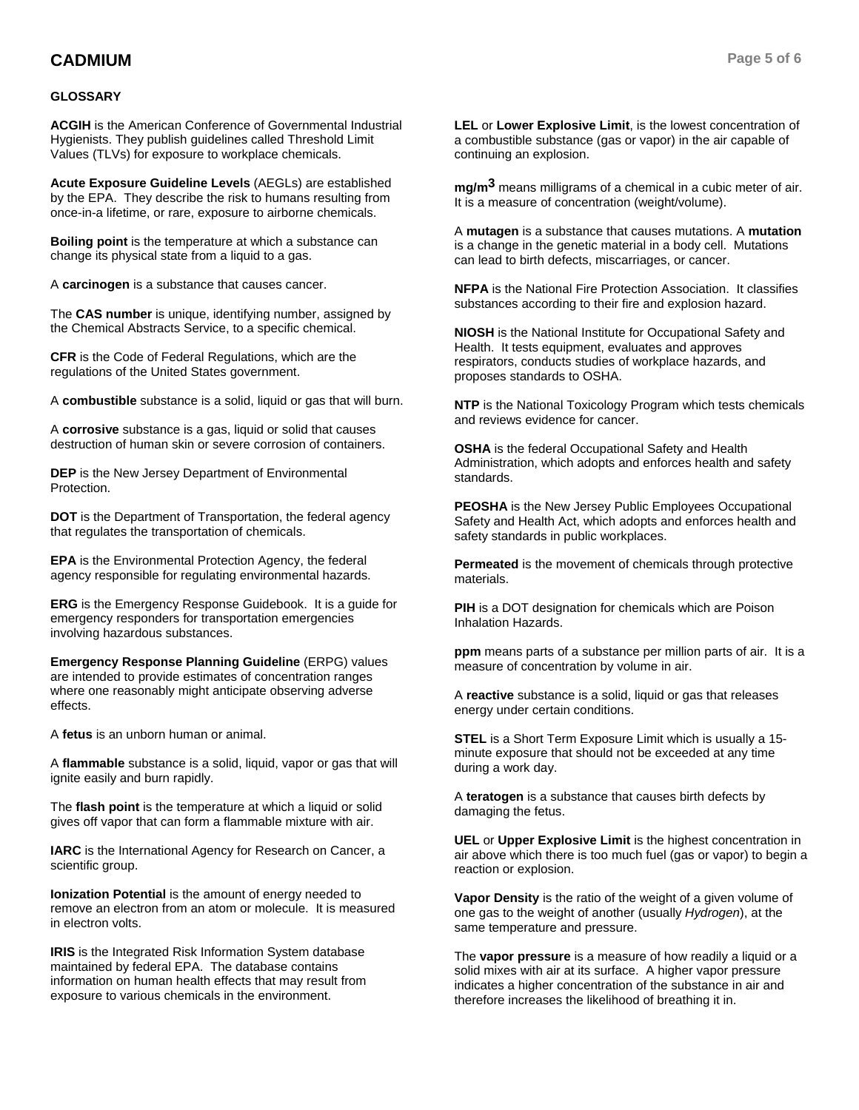#### **GLOSSARY**

**ACGIH** is the American Conference of Governmental Industrial Hygienists. They publish guidelines called Threshold Limit Values (TLVs) for exposure to workplace chemicals.

**Acute Exposure Guideline Levels** (AEGLs) are established by the EPA. They describe the risk to humans resulting from once-in-a lifetime, or rare, exposure to airborne chemicals.

**Boiling point** is the temperature at which a substance can change its physical state from a liquid to a gas.

A **carcinogen** is a substance that causes cancer.

The **CAS number** is unique, identifying number, assigned by the Chemical Abstracts Service, to a specific chemical.

**CFR** is the Code of Federal Regulations, which are the regulations of the United States government.

A **combustible** substance is a solid, liquid or gas that will burn.

A **corrosive** substance is a gas, liquid or solid that causes destruction of human skin or severe corrosion of containers.

**DEP** is the New Jersey Department of Environmental Protection.

**DOT** is the Department of Transportation, the federal agency that regulates the transportation of chemicals.

**EPA** is the Environmental Protection Agency, the federal agency responsible for regulating environmental hazards.

**ERG** is the Emergency Response Guidebook. It is a guide for emergency responders for transportation emergencies involving hazardous substances.

**Emergency Response Planning Guideline** (ERPG) values are intended to provide estimates of concentration ranges where one reasonably might anticipate observing adverse effects.

A **fetus** is an unborn human or animal.

A **flammable** substance is a solid, liquid, vapor or gas that will ignite easily and burn rapidly.

The **flash point** is the temperature at which a liquid or solid gives off vapor that can form a flammable mixture with air.

**IARC** is the International Agency for Research on Cancer, a scientific group.

**Ionization Potential** is the amount of energy needed to remove an electron from an atom or molecule. It is measured in electron volts.

**IRIS** is the Integrated Risk Information System database maintained by federal EPA. The database contains information on human health effects that may result from exposure to various chemicals in the environment.

**LEL** or **Lower Explosive Limit**, is the lowest concentration of a combustible substance (gas or vapor) in the air capable of continuing an explosion.

**mg/m3** means milligrams of a chemical in a cubic meter of air. It is a measure of concentration (weight/volume).

A **mutagen** is a substance that causes mutations. A **mutation** is a change in the genetic material in a body cell. Mutations can lead to birth defects, miscarriages, or cancer.

**NFPA** is the National Fire Protection Association. It classifies substances according to their fire and explosion hazard.

**NIOSH** is the National Institute for Occupational Safety and Health. It tests equipment, evaluates and approves respirators, conducts studies of workplace hazards, and proposes standards to OSHA.

**NTP** is the National Toxicology Program which tests chemicals and reviews evidence for cancer.

**OSHA** is the federal Occupational Safety and Health Administration, which adopts and enforces health and safety standards.

**PEOSHA** is the New Jersey Public Employees Occupational Safety and Health Act, which adopts and enforces health and safety standards in public workplaces.

**Permeated** is the movement of chemicals through protective materials.

**PIH** is a DOT designation for chemicals which are Poison Inhalation Hazards.

**ppm** means parts of a substance per million parts of air. It is a measure of concentration by volume in air.

A **reactive** substance is a solid, liquid or gas that releases energy under certain conditions.

**STEL** is a Short Term Exposure Limit which is usually a 15 minute exposure that should not be exceeded at any time during a work day.

A **teratogen** is a substance that causes birth defects by damaging the fetus.

**UEL** or **Upper Explosive Limit** is the highest concentration in air above which there is too much fuel (gas or vapor) to begin a reaction or explosion.

**Vapor Density** is the ratio of the weight of a given volume of one gas to the weight of another (usually *Hydrogen*), at the same temperature and pressure.

The **vapor pressure** is a measure of how readily a liquid or a solid mixes with air at its surface. A higher vapor pressure indicates a higher concentration of the substance in air and therefore increases the likelihood of breathing it in.